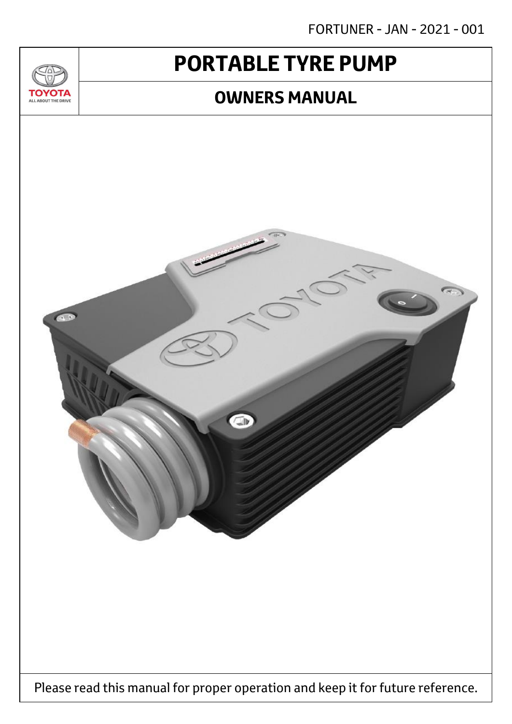FORTUNER - JAN - 2021 - 001

# **PORTABLE TYRE PUMP**

 $T_{\Delta}$ 

**TOYOTA** ALL ABOUT THE DRIVE

## **OWNERS MANUAL**

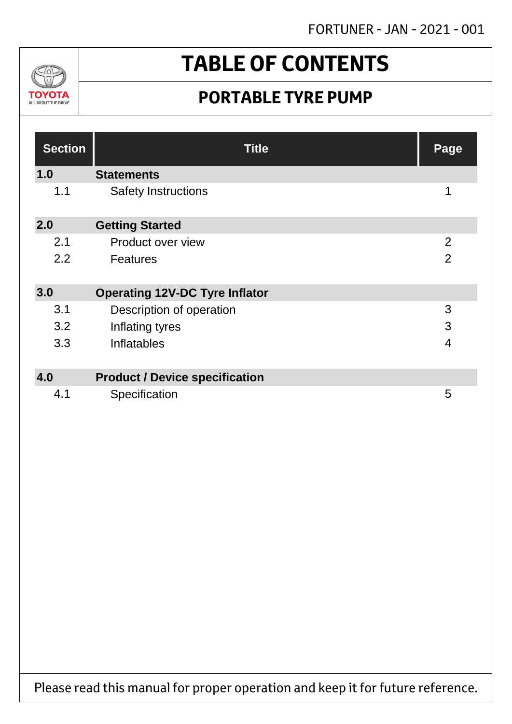

# **TABLE OF CONTENTS**

## **PORTABLE TYRE PUMP**

| <b>Section</b> | <b>Title</b>                          | Page           |
|----------------|---------------------------------------|----------------|
| 1.0            | <b>Statements</b>                     |                |
| 1.1            | <b>Safety Instructions</b>            | 1              |
| 2.0            | <b>Getting Started</b>                |                |
| 2.1            | Product over view                     | $\overline{2}$ |
| 2.2            | <b>Features</b>                       | $\overline{2}$ |
| 3.0            | <b>Operating 12V-DC Tyre Inflator</b> |                |
| 3.1            | Description of operation              | 3              |
| 3.2            | Inflating tyres                       | 3              |
| 3.3            | Inflatables                           | $\overline{4}$ |
| 4.0            | <b>Product / Device specification</b> |                |
| 4.1            | Specification                         | 5              |

Please read this manual for proper operation and keep it for future reference.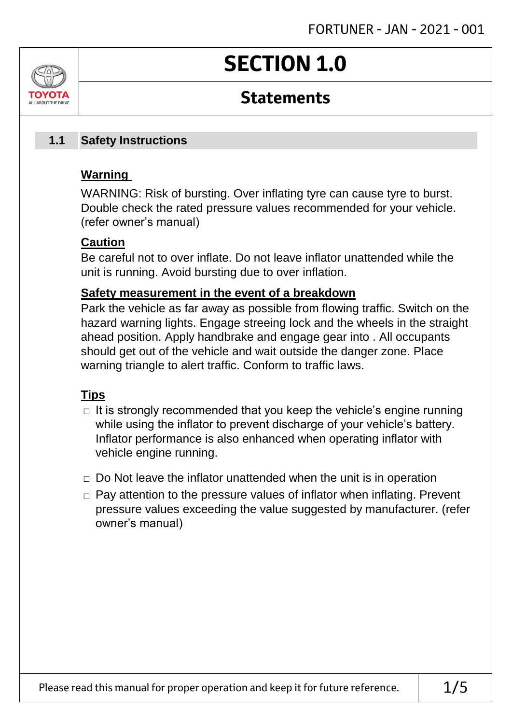# **SECTION 1.0**

### **Statements**

#### **Safety Instructions 1.1**

### **Warning**

ALL AROUT THE DRIV

WARNING: Risk of bursting. Over inflating tyre can cause tyre to burst. Double check the rated pressure values recommended for your vehicle. (refer owner's manual)

### **Caution**

Be careful not to over inflate. Do not leave inflator unattended while the unit is running. Avoid bursting due to over inflation.

### **Safety measurement in the event of a breakdown**

Park the vehicle as far away as possible from flowing traffic. Switch on the hazard warning lights. Engage streeing lock and the wheels in the straight ahead position. Apply handbrake and engage gear into . All occupants should get out of the vehicle and wait outside the danger zone. Place warning triangle to alert traffic. Conform to traffic laws.

### **Tips**

- $\Box$  It is strongly recommended that you keep the vehicle's engine running while using the inflator to prevent discharge of your vehicle's battery. Inflator performance is also enhanced when operating inflator with vehicle engine running.
- $\Box$  Do Not leave the inflator unattended when the unit is in operation
- □ Pay attention to the pressure values of inflator when inflating. Prevent pressure values exceeding the value suggested by manufacturer. (refer owner's manual)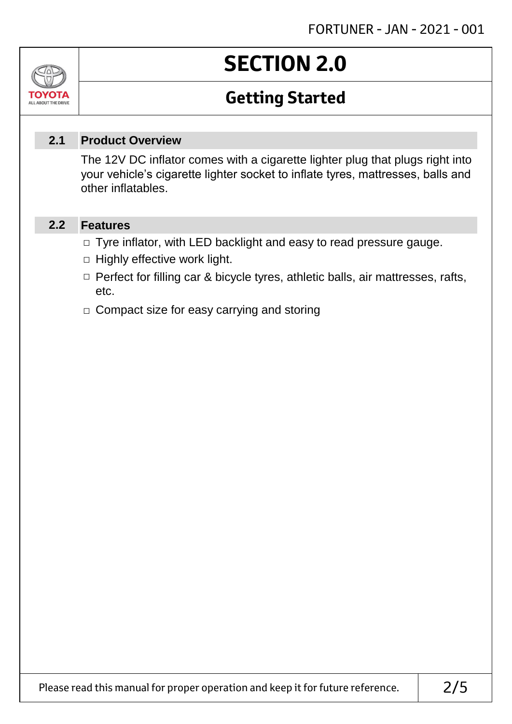# **SECTION 2.0**

# **Getting Started**

#### **Product Overview 2.1**

The 12V DC inflator comes with a cigarette lighter plug that plugs right into your vehicle's cigarette lighter socket to inflate tyres, mattresses, balls and other inflatables.

#### **Features 2.2**

Jn

TOVOIL ALL ABOUT THE DRIVE

- □ Tyre inflator, with LED backlight and easy to read pressure gauge.
- $\Box$  Highly effective work light.
- □ Perfect for filling car & bicycle tyres, athletic balls, air mattresses, rafts, etc.
- □ Compact size for easy carrying and storing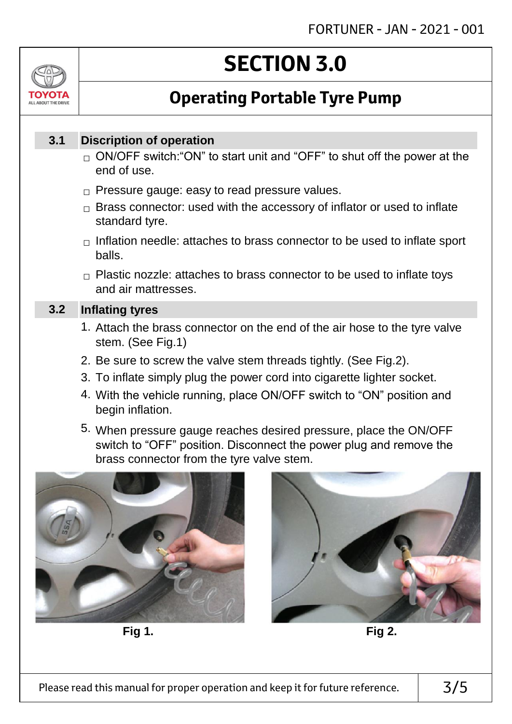# ALL AROUT THE DRIV

# **SECTION 3.0**

# **Operating Portable Tyre Pump**

#### **Discription of operation 3.1**

- $_\square$  ON/OFF switch:"ON" to start unit and "OFF" to shut off the power at the end of use.
- $\Box$  Pressure gauge: easy to read pressure values.
- $\Box$  Brass connector: used with the accessory of inflator or used to inflate standard tyre.
- $\Box$  Inflation needle: attaches to brass connector to be used to inflate sport balls.
- $\Box$  Plastic nozzle: attaches to brass connector to be used to inflate toys and air mattresses.

#### **Inflating tyres 3.2**

- 1. Attach the brass connector on the end of the air hose to the tyre valve stem. (See Fig.1)
- 2. Be sure to screw the valve stem threads tightly. (See Fig.2).
- 3. To inflate simply plug the power cord into cigarette lighter socket.
- 4. With the vehicle running, place ON/OFF switch to "ON" position and begin inflation.
- 5. When pressure gauge reaches desired pressure, place the ON/OFF switch to "OFF" position. Disconnect the power plug and remove the brass connector from the tyre valve stem.



**Fig 1. Fig 2.**

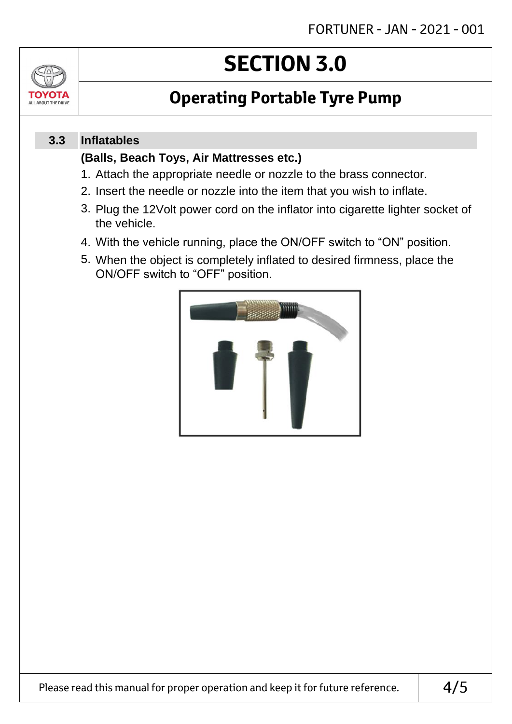

# **SECTION 3.0**

# **Operating Portable Tyre Pump**

#### **Inflatables 3.3**

### **(Balls, Beach Toys, Air Mattresses etc.)**

- 1. Attach the appropriate needle or nozzle to the brass connector.
- 2. Insert the needle or nozzle into the item that you wish to inflate.
- 3. Plug the 12Volt power cord on the inflator into cigarette lighter socket of the vehicle.
- 4. With the vehicle running, place the ON/OFF switch to "ON" position.
- 5. When the object is completely inflated to desired firmness, place the ON/OFF switch to "OFF" position.